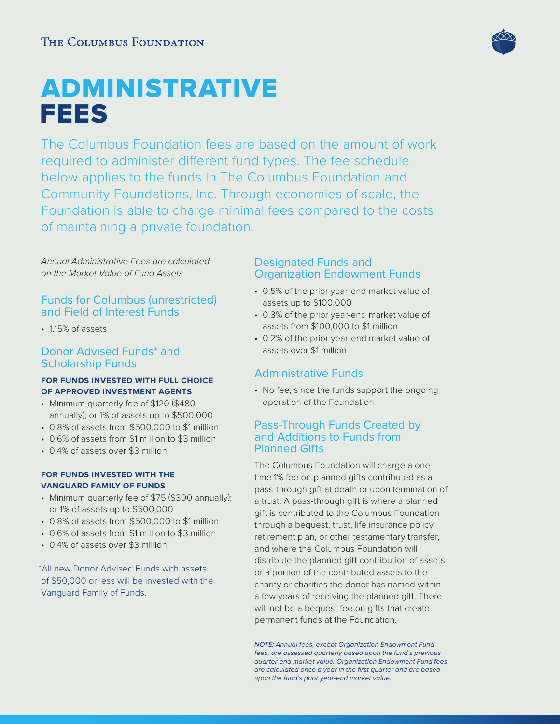# ADMINISTRATIVE FEES

The Columbus Foundation fees are based on the amount of work required to administer different fund types. The fee schedule below applies to the funds in The Columbus Foundation and Community Foundations, Inc. Through economies of scale, the Foundation is able to charge minimal fees compared to the costs of maintaining a private foundation.

Annual Administrative Fees are calculated on the Market Value of Fund Assets

# Funds for Columbus (unrestricted) and Field of Interest Funds

• 1.15% of assets

## Donor Advised Funds\* and Scholarship Funds

### **FOR FUNDS INVESTED WITH FULL CHOICE OF APPROVED INVESTMENT AGENTS**

- Minimum quarterly fee of \$120 (\$480 annually); or 1% of assets up to \$500,000
- 0.8% of assets from \$500,000 to \$1 million
- 0.6% of assets from \$1 million to \$3 million
- 0.4% of assets over \$3 million

#### **FOR FUNDS INVESTED WITH THE VANGUARD FAMILY OF FUNDS**

- Minimum quarterly fee of \$75 (\$300 annually); or 1% of assets up to \$500,000
- 0.8% of assets from \$500,000 to \$1 million
- 0.6% of assets from \$1 million to \$3 million
- 0.4% of assets over \$3 million

 \*All new Donor Advised Funds with assets of \$50,000 or less will be invested with the Vanguard Family of Funds.

## Designated Funds and Organization Endowment Funds

- 0.5% of the prior year-end market value of assets up to \$100,000
- 0.3% of the prior year-end market value of assets from \$100,000 to \$1 million
- 0.2% of the prior year-end market value of assets over \$1 million

# Administrative Funds

• No fee, since the funds support the ongoing operation of the Foundation

# Pass-Through Funds Created by and Additions to Funds from Planned Gifts

The Columbus Foundation will charge a onetime 1% fee on planned gifts contributed as a pass-through gift at death or upon termination of a trust. A pass-through gift is where a planned gift is contributed to the Columbus Foundation through a bequest, trust, life insurance policy, retirement plan, or other testamentary transfer, and where the Columbus Foundation will distribute the planned gift contribution of assets or a portion of the contributed assets to the charity or charities the donor has named within a few years of receiving the planned gift. There will not be a bequest fee on gifts that create permanent funds at the Foundation.

NOTE: Annual fees, except Organization Endowment Fund fees, are assessed quarterly based upon the fund's previous quarter-end market value. Organization Endowment Fund fees are calculated once a year in the first quarter and are based upon the fund's prior year-end market value.